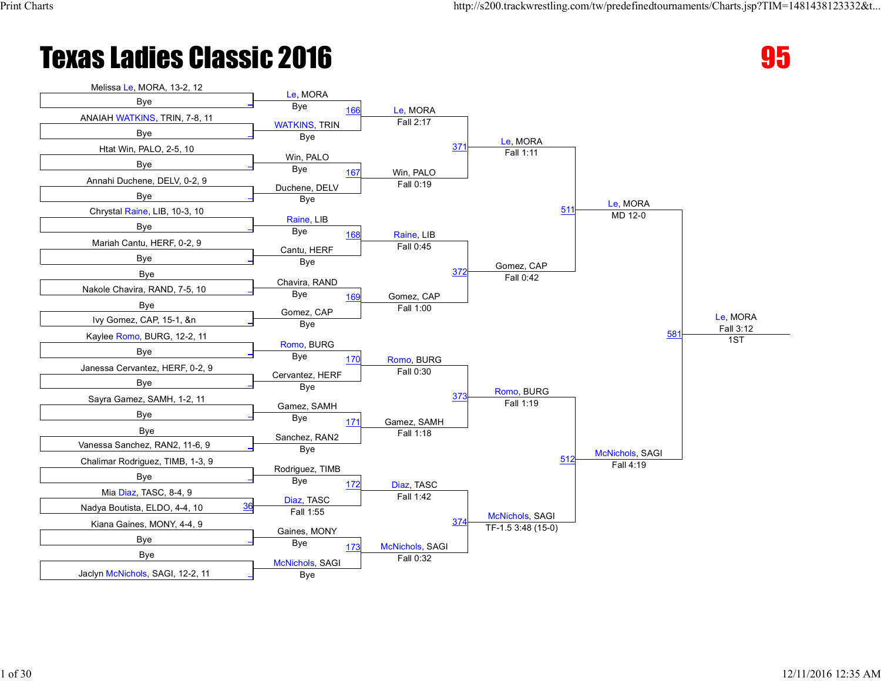

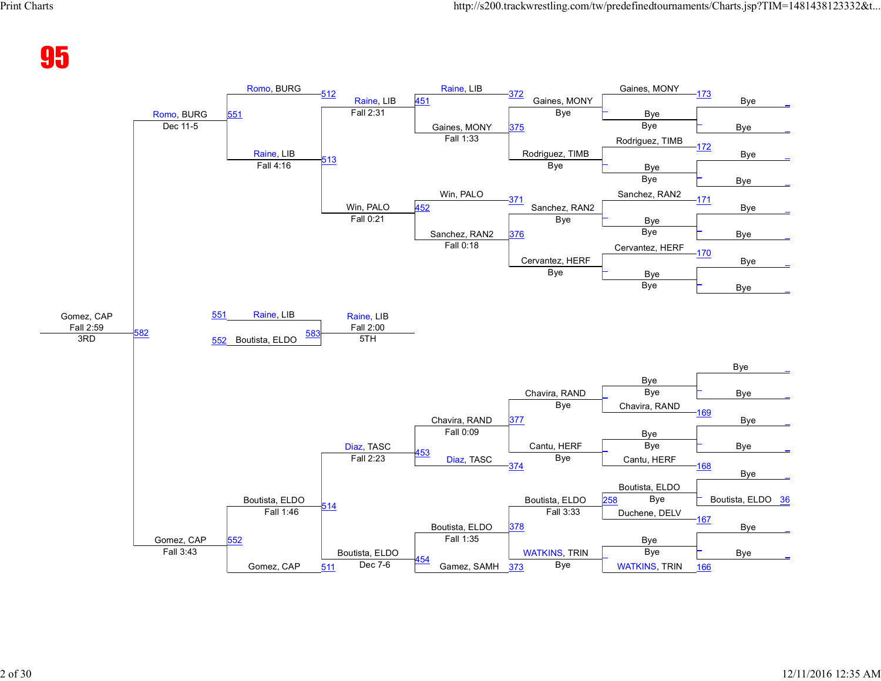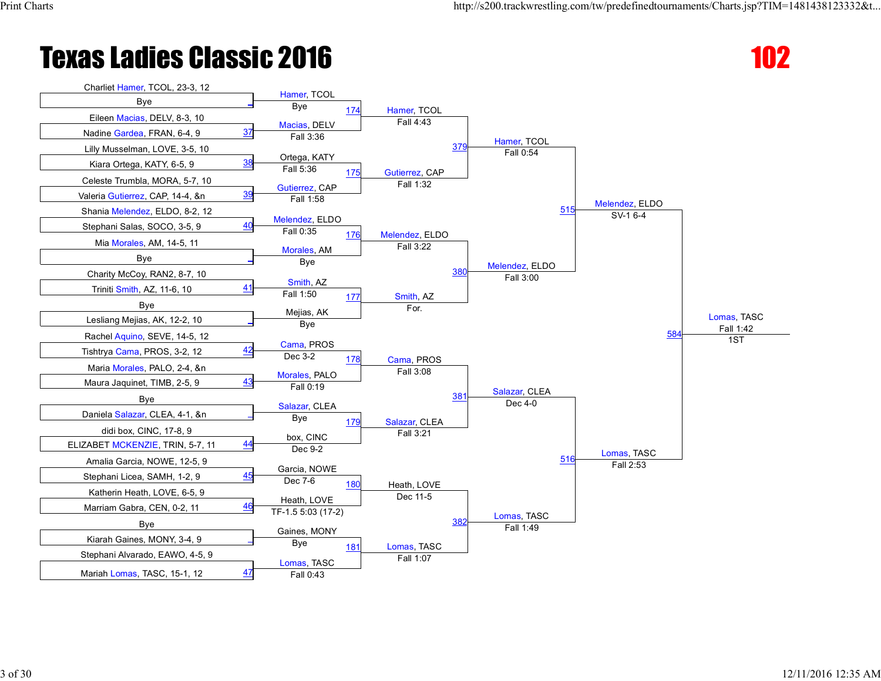

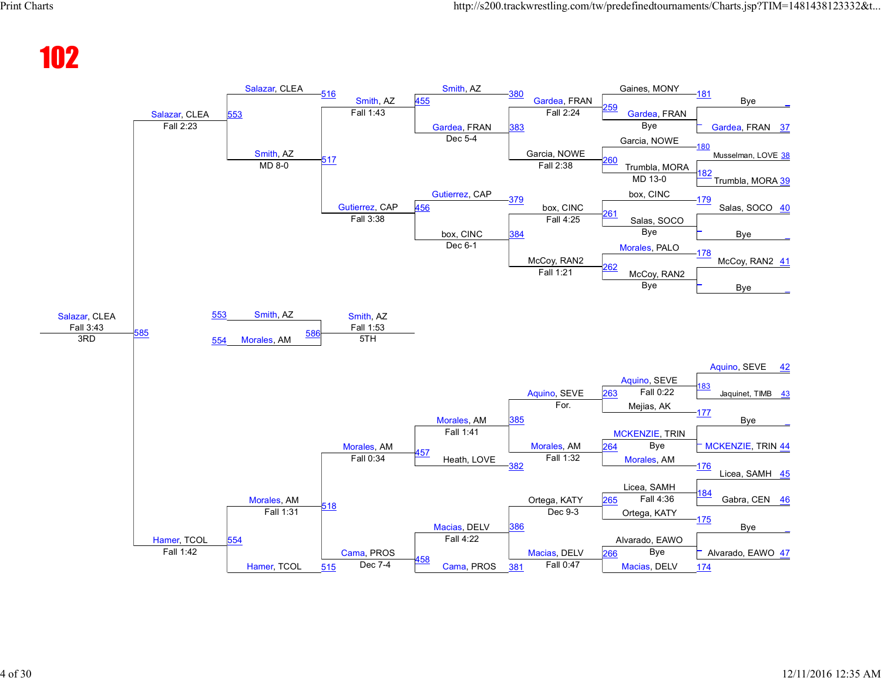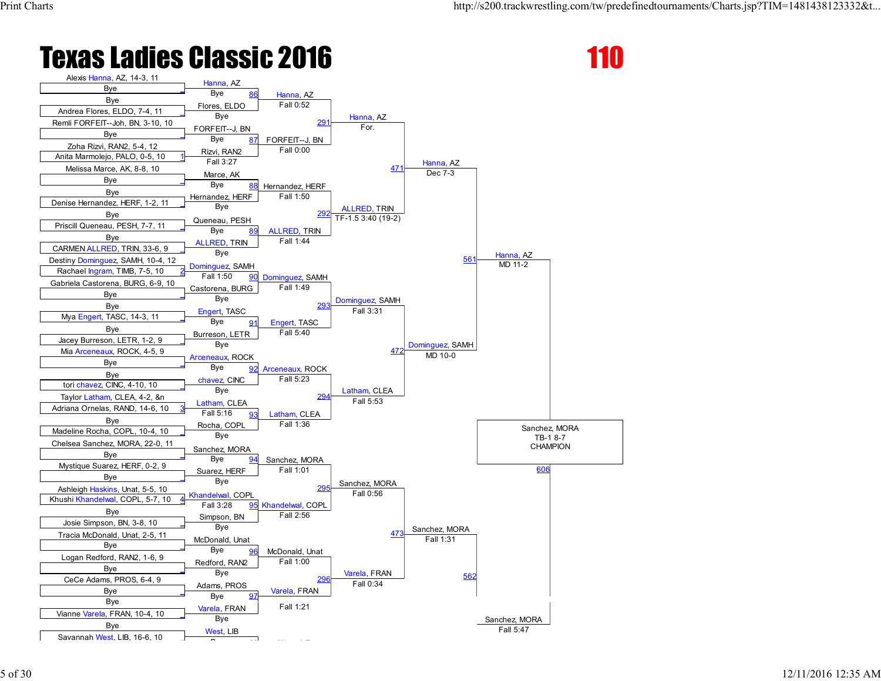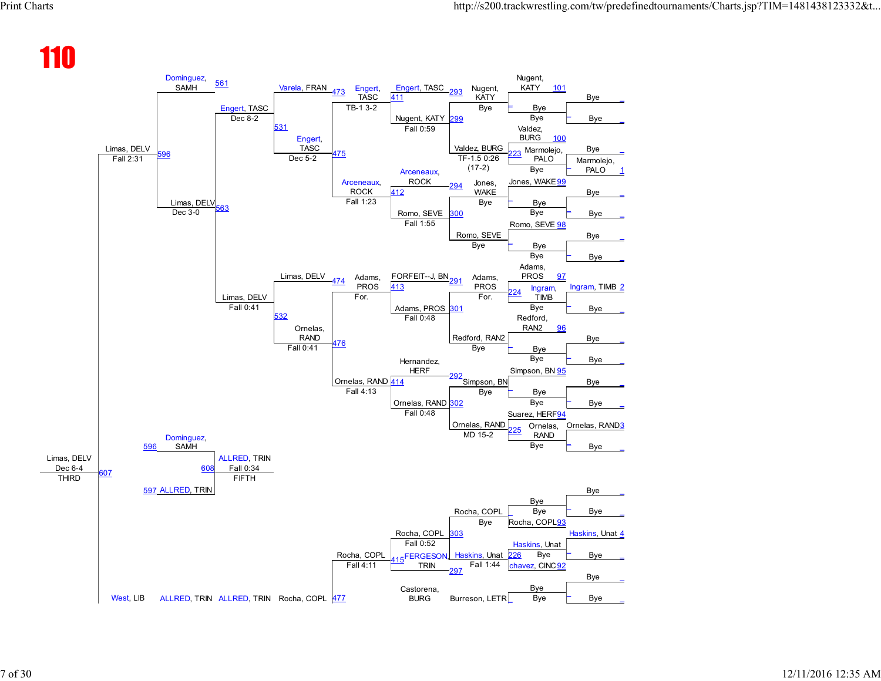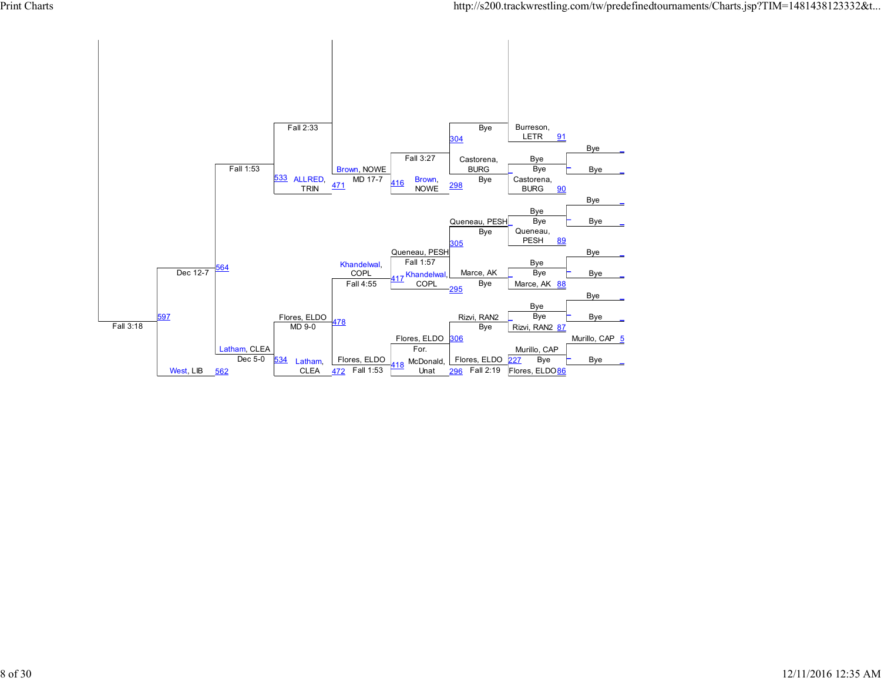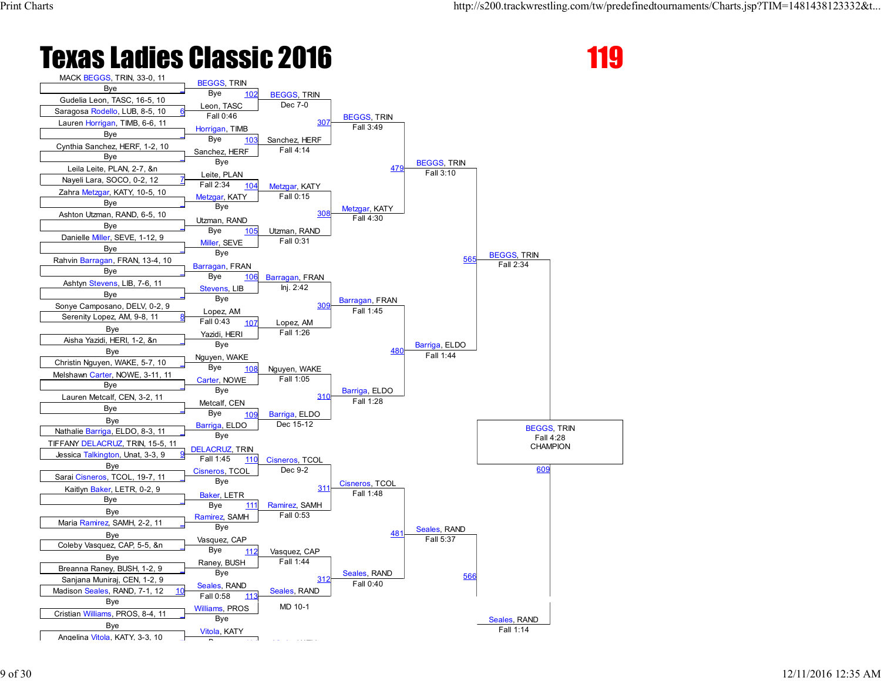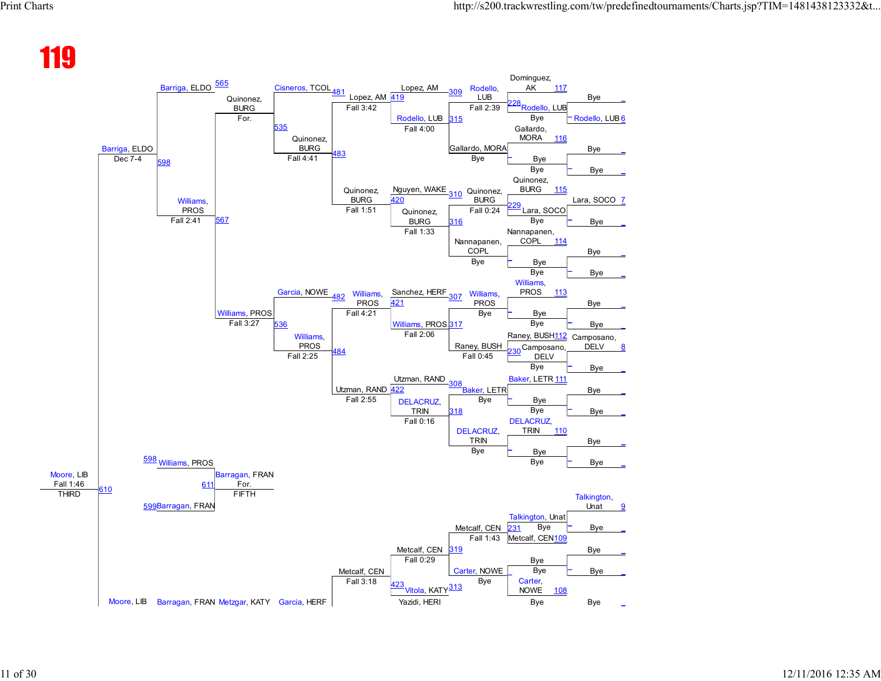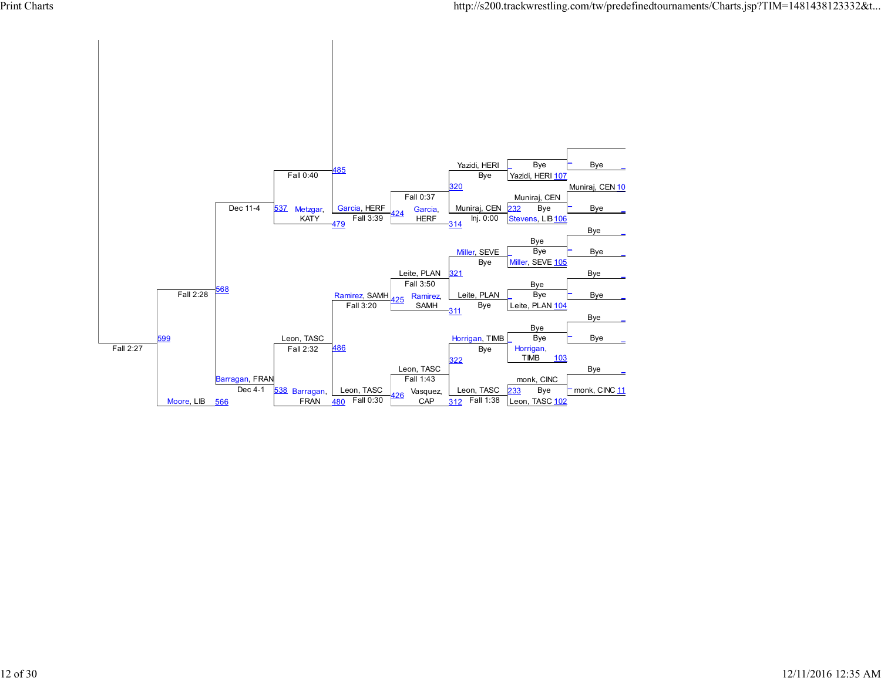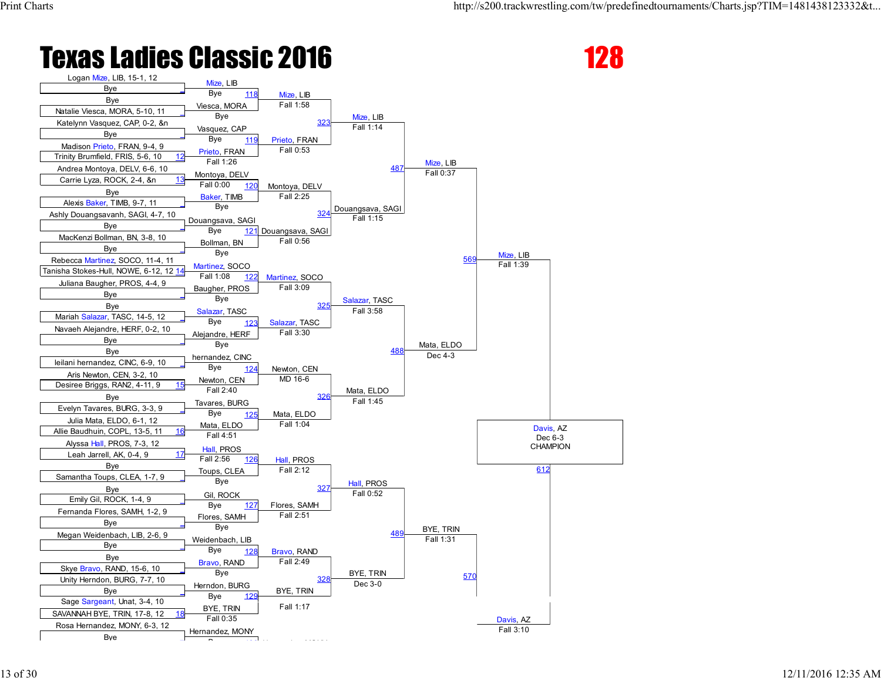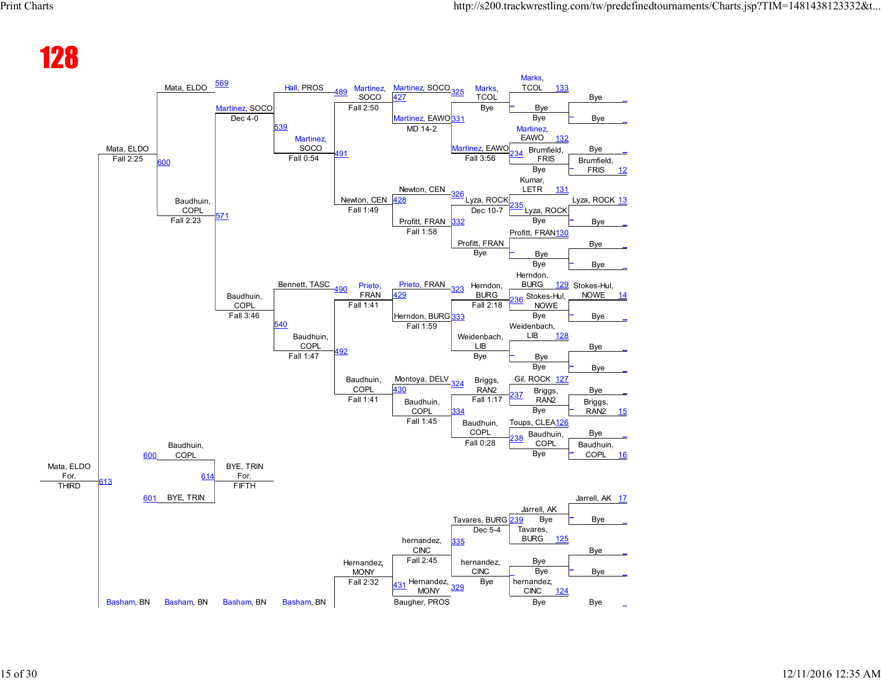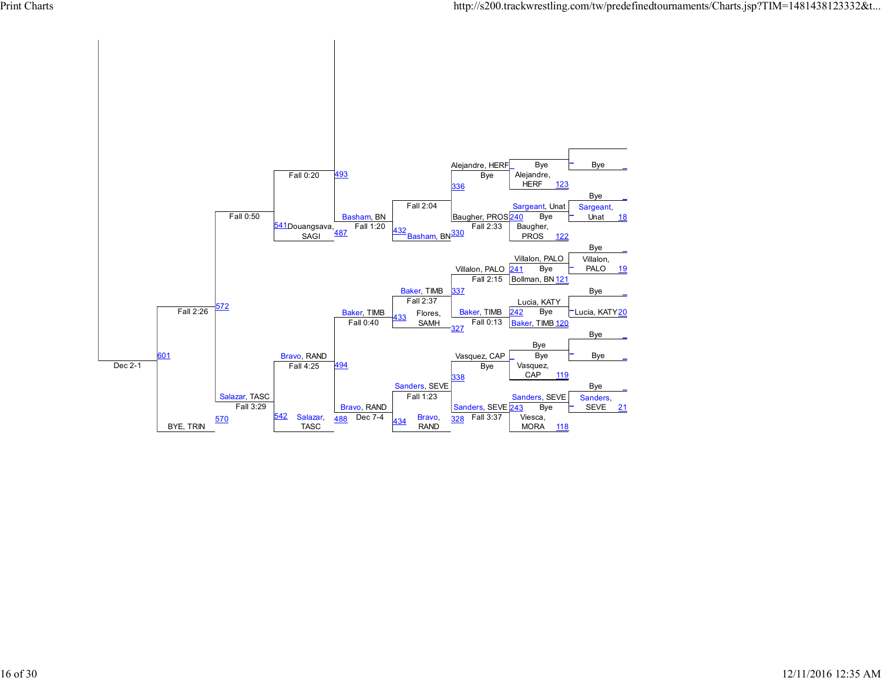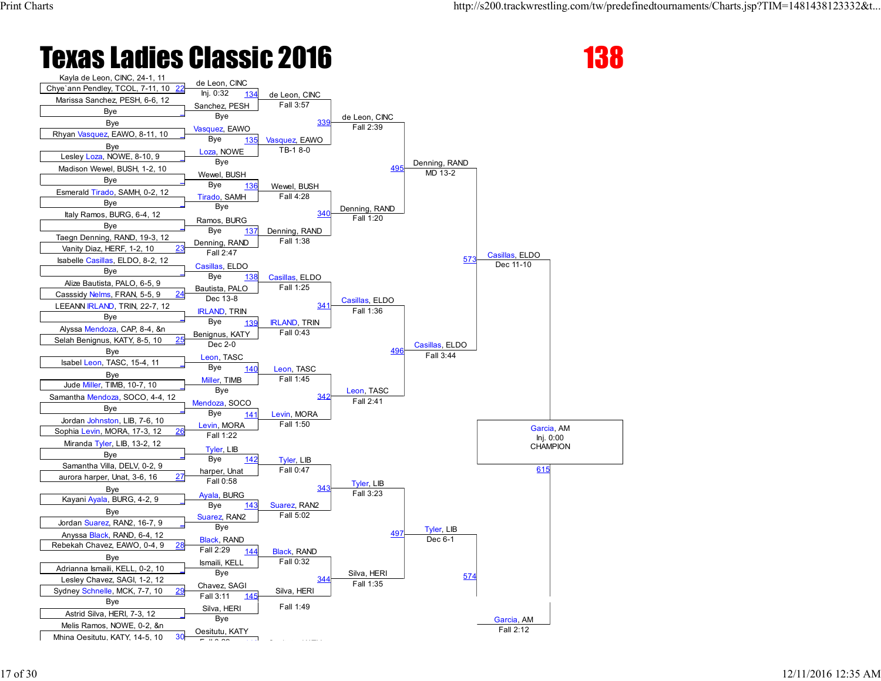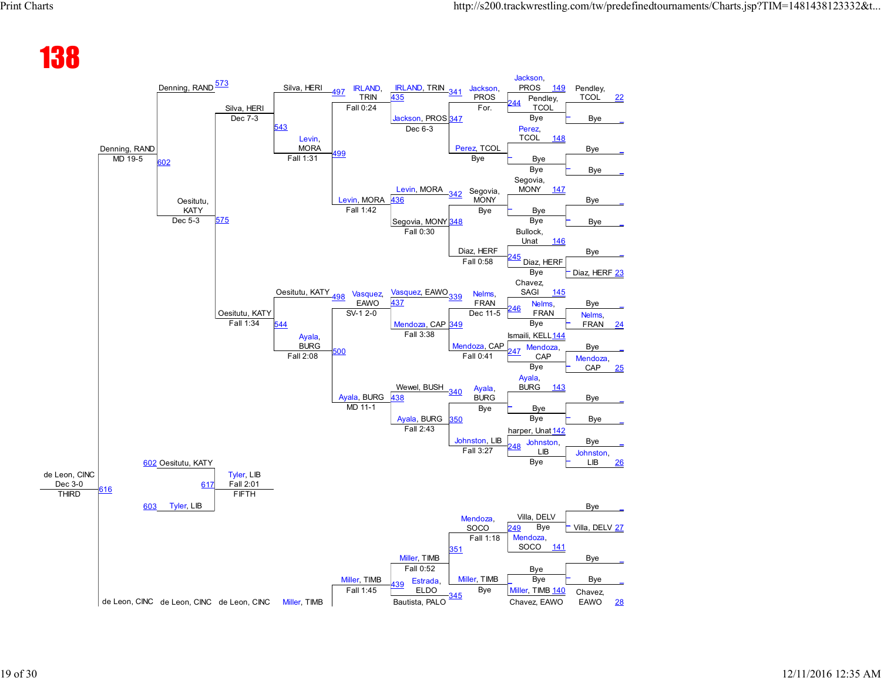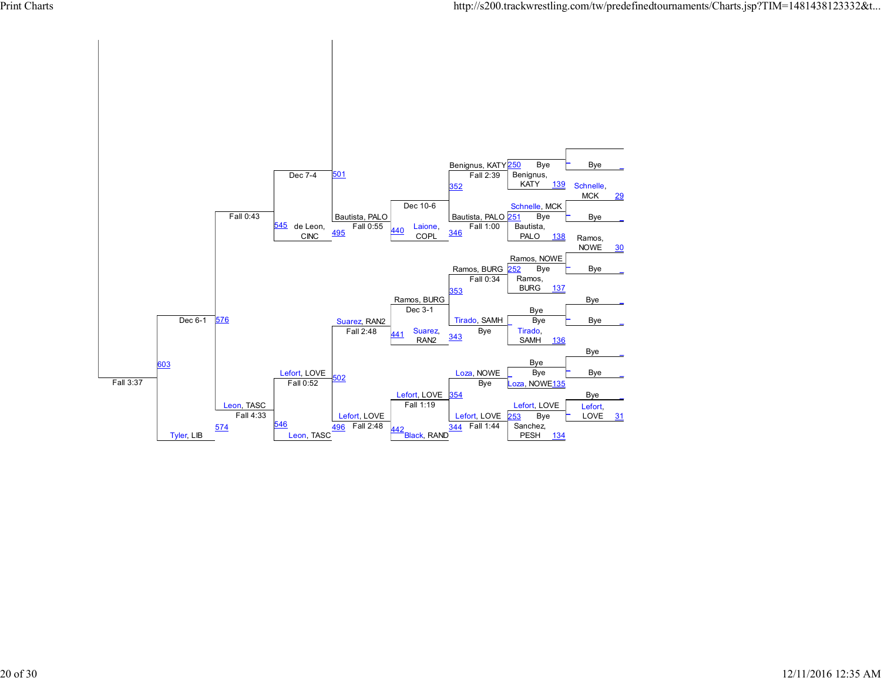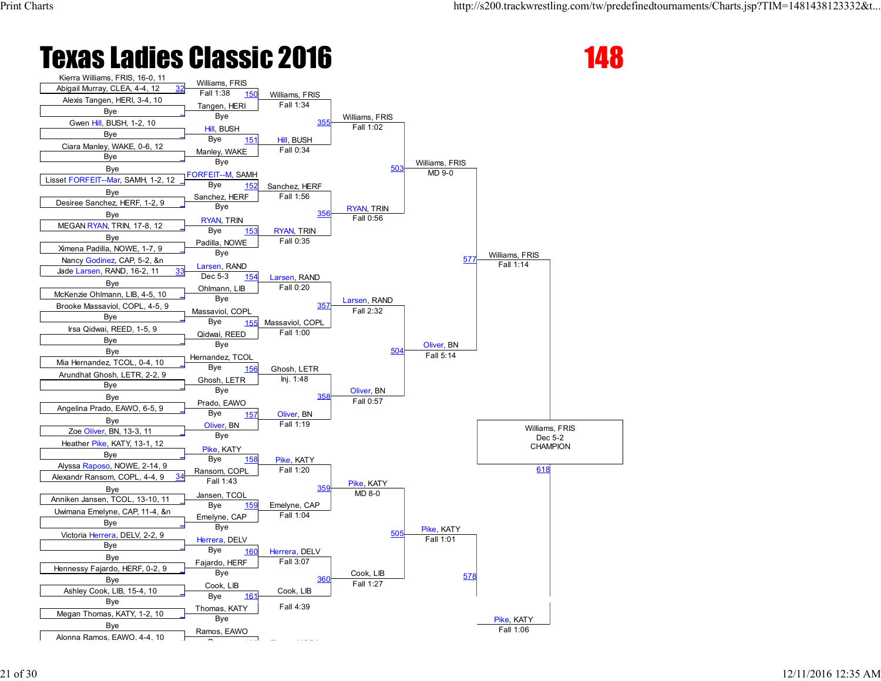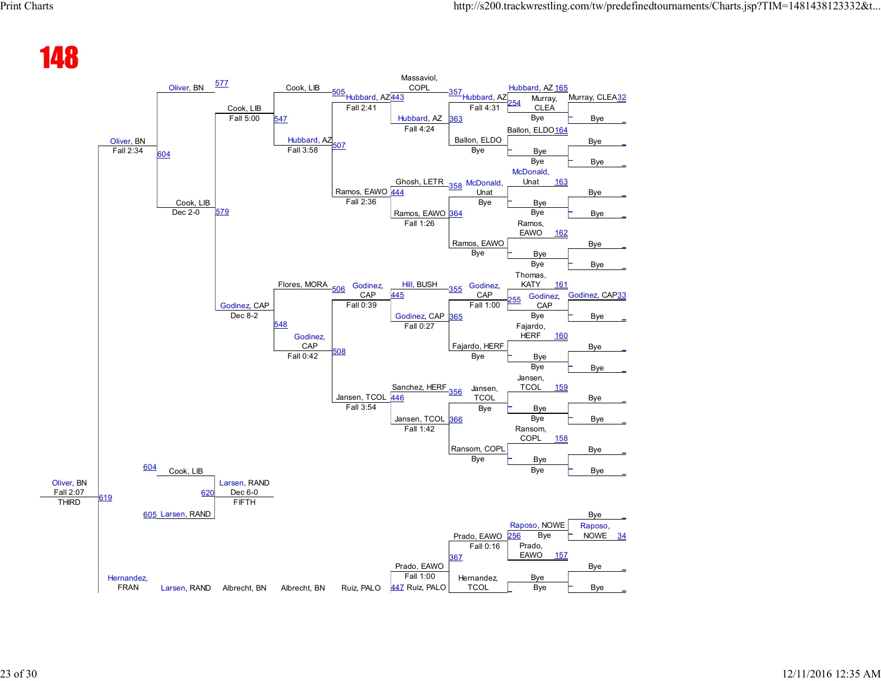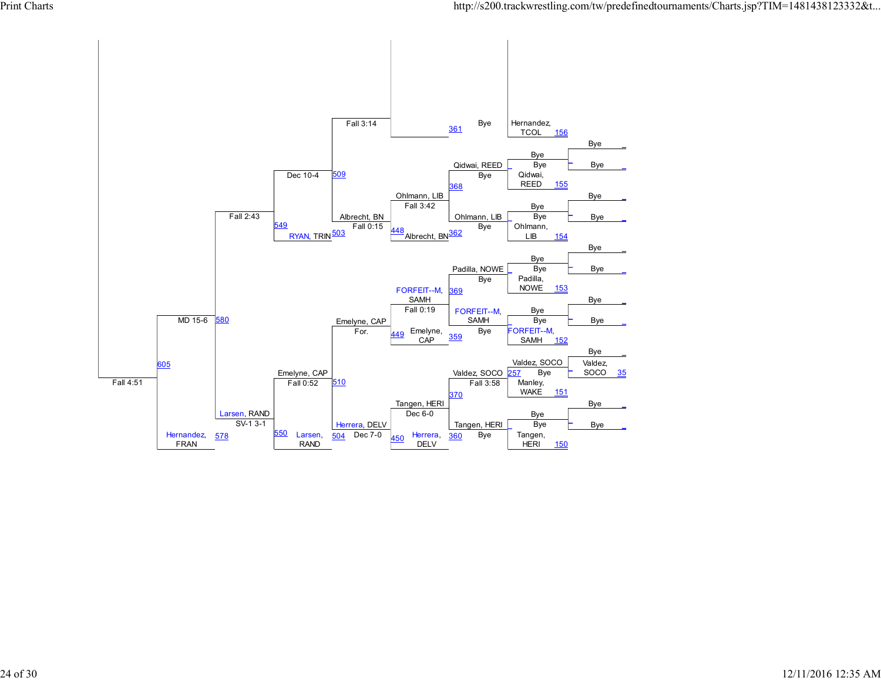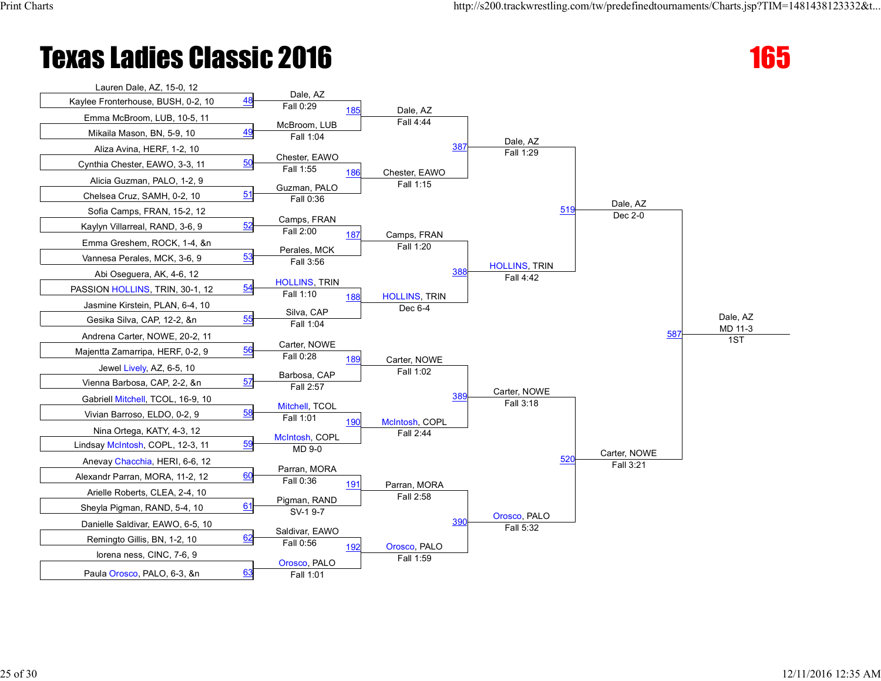

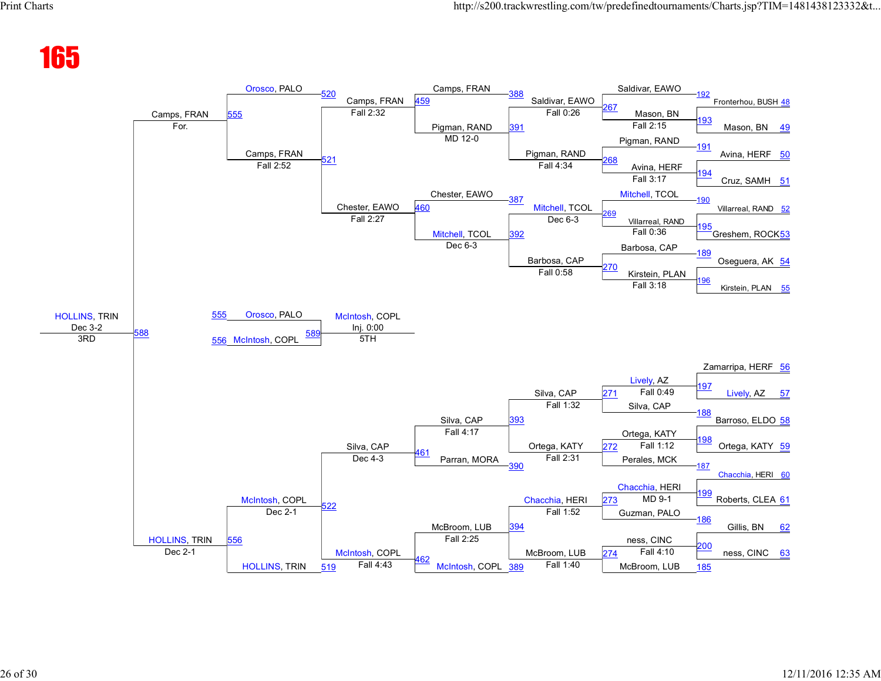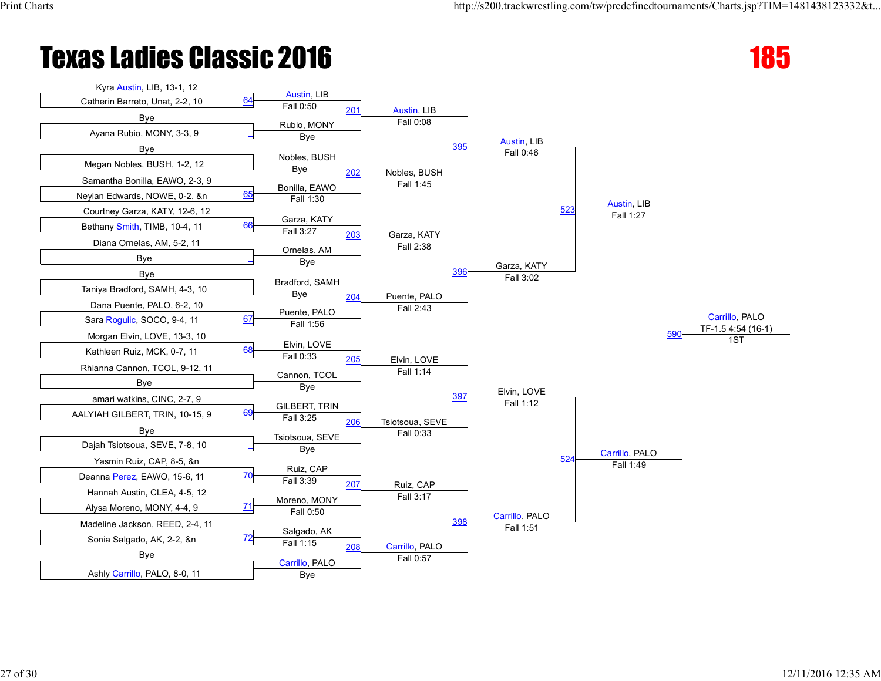

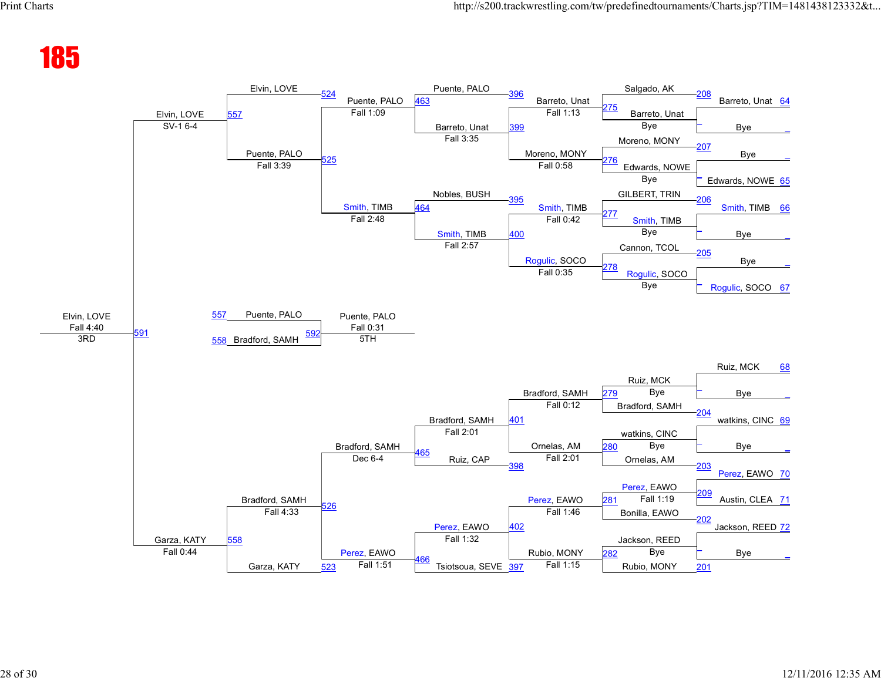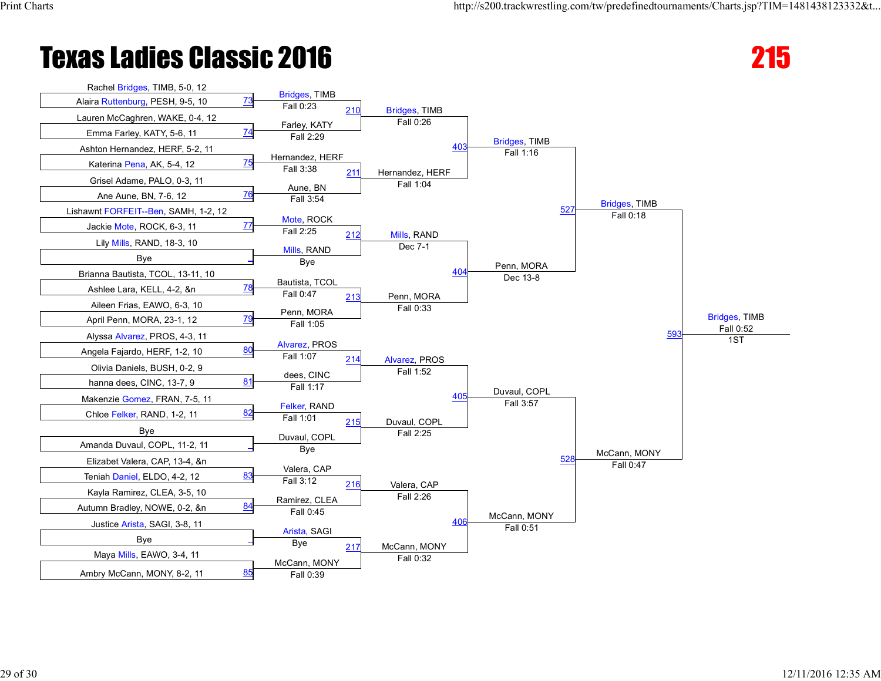